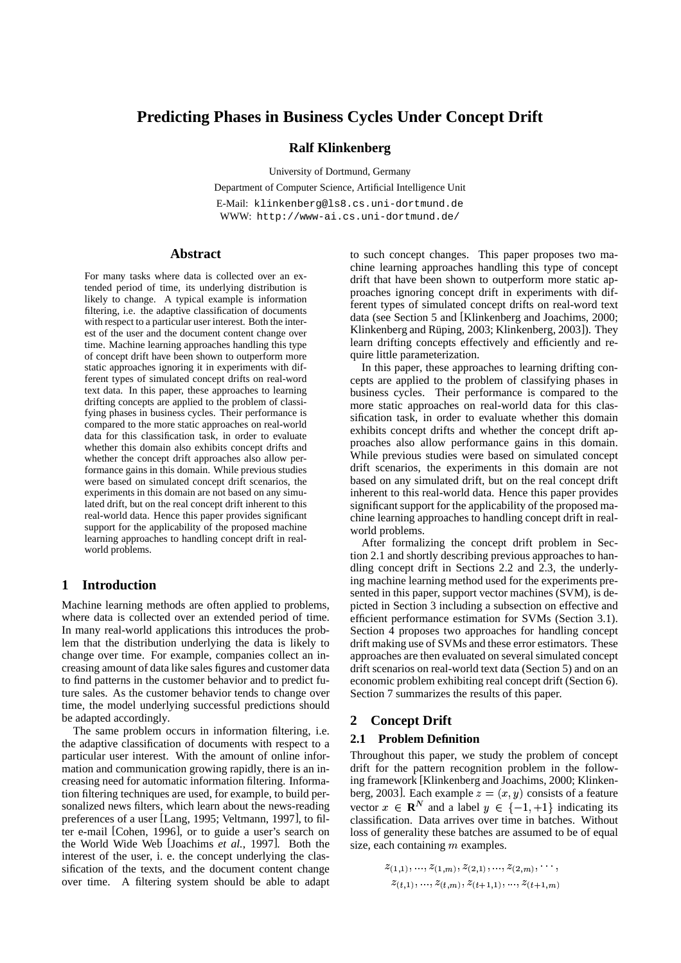# **Predicting Phases in Business Cycles Under Concept Drift**

## **Ralf Klinkenberg**

University of Dortmund, Germany

Department of Computer Science, Artificial Intelligence Unit E-Mail: klinkenberg@ls8.cs.uni-dortmund.de WWW: http://www-ai.cs.uni-dortmund.de/

#### **Abstract**

For many tasks where data is collected over an extended period of time, its underlying distribution is likely to change. A typical example is information filtering, i.e. the adaptive classification of documents with respect to a particular user interest. Both the interest of the user and the document content change over time. Machine learning approaches handling this type of concept drift have been shown to outperform more static approaches ignoring it in experiments with different types of simulated concept drifts on real-word text data. In this paper, these approaches to learning drifting concepts are applied to the problem of classifying phases in business cycles. Their performance is compared to the more static approaches on real-world data for this classification task, in order to evaluate whether this domain also exhibits concept drifts and whether the concept drift approaches also allow performance gains in this domain. While previous studies were based on simulated concept drift scenarios, the experiments in this domain are not based on any simulated drift, but on the real concept drift inherent to this real-world data. Hence this paper provides significant support for the applicability of the proposed machine learning approaches to handling concept drift in realworld problems.

# **1 Introduction**

Machine learning methods are often applied to problems, where data is collected over an extended period of time. In many real-world applications this introduces the problem that the distribution underlying the data is likely to change over time. For example, companies collect an increasing amount of data like sales figures and customer data to find patterns in the customer behavior and to predict future sales. As the customer behavior tends to change over time, the model underlying successful predictions should be adapted accordingly.

The same problem occurs in information filtering, i.e. the adaptive classification of documents with respect to a particular user interest. With the amount of online information and communication growing rapidly, there is an increasing need for automatic information filtering. Information filtering techniques are used, for example, to build personalized news filters, which learn about the news-reading preferences of a user [Lang, 1995; Veltmann, 1997], to filter e-mail [Cohen, 1996], or to guide a user's search on the World Wide Web [Joachims *et al.*, 1997]. Both the interest of the user, i. e. the concept underlying the classification of the texts, and the document content change over time. A filtering system should be able to adapt

to such concept changes. This paper proposes two machine learning approaches handling this type of concept drift that have been shown to outperform more static approaches ignoring concept drift in experiments with different types of simulated concept drifts on real-word text data (see Section 5 and [Klinkenberg and Joachims, 2000; Klinkenberg and Rüping, 2003; Klinkenberg, 2003]). They learn drifting concepts effectively and efficiently and require little parameterization.

In this paper, these approaches to learning drifting concepts are applied to the problem of classifying phases in business cycles. Their performance is compared to the more static approaches on real-world data for this classification task, in order to evaluate whether this domain exhibits concept drifts and whether the concept drift approaches also allow performance gains in this domain. While previous studies were based on simulated concept drift scenarios, the experiments in this domain are not based on any simulated drift, but on the real concept drift inherent to this real-world data. Hence this paper provides significant support for the applicability of the proposed machine learning approaches to handling concept drift in realworld problems.

After formalizing the concept drift problem in Section 2.1 and shortly describing previous approaches to handling concept drift in Sections 2.2 and 2.3, the underlying machine learning method used for the experiments presented in this paper, support vector machines (SVM), is depicted in Section 3 including a subsection on effective and efficient performance estimation for SVMs (Section 3.1). Section 4 proposes two approaches for handling concept drift making use of SVMs and these error estimators. These approaches are then evaluated on several simulated concept drift scenarios on real-world text data (Section 5) and on an economic problem exhibiting real concept drift (Section 6). Section 7 summarizes the results of this paper.

# **2 Concept Drift**

## **2.1 Problem Definition**

Throughout this paper, we study the problem of concept drift for the pattern recognition problem in the following framework [Klinkenberg and Joachims, 2000; Klinkenberg, 2003]. Each example  $z = (x, y)$  consists of a feature vector  $x \in \mathbb{R}^N$  and a label  $y \in \{-1, +1\}$  indicating its classification. Data arrives over time in batches. Without loss of generality these batches are assumed to be of equal size, each containing  *examples.* 

$$
z_{(1,1)}, \ldots, z_{(1,m)}, z_{(2,1)}, \ldots, z_{(2,m)}, \ldots, z_{(t,1)}, \ldots, z_{(t,m)}, z_{(t+1,1)}, \ldots, z_{(t+1,m)}
$$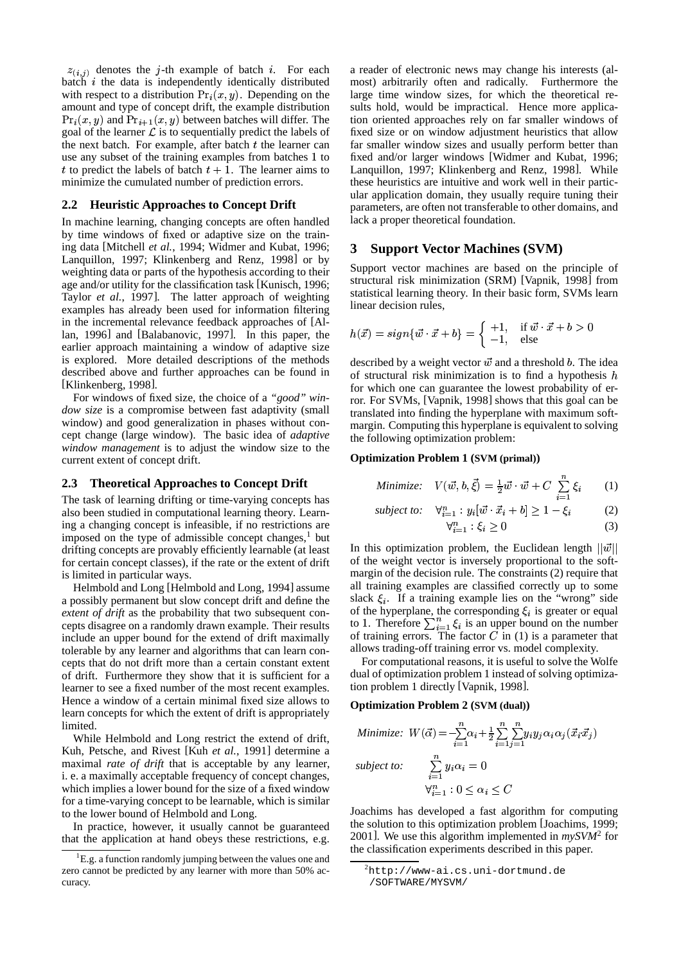$z_{(i,j)}$  denotes the j-th example of batch i. For each batch  $i$  the data is independently identically distributed with respect to a distribution  $Pr_i(x, y)$ . Depending on the amount and type of concept drift, the example distribution  $Pr_i(x, y)$  and  $Pr_{i+1}(x, y)$  between batches will differ. The goal of the learner  $\mathcal L$  is to sequentially predict the labels of the next batch. For example, after batch  $t$  the learner can use any subset of the training examples from batches 1 to t to predict the labels of batch  $t + 1$ . The learner aims to minimize the cumulated number of prediction errors.

#### **2.2 Heuristic Approaches to Concept Drift**

In machine learning, changing concepts are often handled by time windows of fixed or adaptive size on the training data [Mitchell *et al.*, 1994; Widmer and Kubat, 1996; Lanquillon, 1997; Klinkenberg and Renz, 1998] or by weighting data or parts of the hypothesis according to their age and/or utility for the classification task [Kunisch, 1996; Taylor *et al.*, 1997]. The latter approach of weighting examples has already been used for information filtering in the incremental relevance feedback approaches of [Allan, 1996] and [Balabanovic, 1997]. In this paper, the earlier approach maintaining a window of adaptive size is explored. More detailed descriptions of the methods described above and further approaches can be found in [Klinkenberg, 1998].

For windows of fixed size, the choice of a *"good" window size* is a compromise between fast adaptivity (small window) and good generalization in phases without concept change (large window). The basic idea of *adaptive window management* is to adjust the window size to the current extent of concept drift.

#### **2.3 Theoretical Approaches to Concept Drift**

The task of learning drifting or time-varying concepts has also been studied in computational learning theory. Learning a changing concept is infeasible, if no restrictions are imposed on the type of admissible concept changes, $<sup>1</sup>$  but</sup> drifting concepts are provably efficiently learnable (at least for certain concept classes), if the rate or the extent of drift is limited in particular ways.

Helmbold and Long [Helmbold and Long, 1994] assume a possibly permanent but slow concept drift and define the *extent of drift* as the probability that two subsequent concepts disagree on a randomly drawn example. Their results include an upper bound for the extend of drift maximally tolerable by any learner and algorithms that can learn concepts that do not drift more than a certain constant extent of drift. Furthermore they show that it is sufficient for a learner to see a fixed number of the most recent examples. Hence a window of a certain minimal fixed size allows to learn concepts for which the extent of drift is appropriately limited.

While Helmbold and Long restrict the extend of drift, Kuh, Petsche, and Rivest [Kuh *et al.*, 1991] determine a maximal *rate of drift* that is acceptable by any learner, i. e. a maximally acceptable frequency of concept changes, which implies a lower bound for the size of a fixed window for a time-varying concept to be learnable, which is similar to the lower bound of Helmbold and Long.

In practice, however, it usually cannot be guaranteed that the application at hand obeys these restrictions, e.g.

a reader of electronic news may change his interests (almost) arbitrarily often and radically. Furthermore the large time window sizes, for which the theoretical results hold, would be impractical. Hence more application oriented approaches rely on far smaller windows of fixed size or on window adjustment heuristics that allow far smaller window sizes and usually perform better than fixed and/or larger windows [Widmer and Kubat, 1996; Lanquillon, 1997; Klinkenberg and Renz, 1998]. While these heuristics are intuitive and work well in their particular application domain, they usually require tuning their parameters, are often not transferable to other domains, and lack a proper theoretical foundation.

### **3 Support Vector Machines (SVM)**

Support vector machines are based on the principle of structural risk minimization (SRM) [Vapnik, 1998] from statistical learning theory. In their basic form, SVMs learn linear decision rules,

$$
h(\vec{x}) = sign\{\vec{w} \cdot \vec{x} + b\} = \begin{cases} +1, & \text{if } \vec{w} \cdot \vec{x} + b > 0 \\ -1, & \text{else} \end{cases}
$$

described by a weight vector  $\vec{w}$  and a threshold b. The idea of structural risk minimization is to find a hypothesis  $h$ for which one can guarantee the lowest probability of error. For SVMs, [Vapnik, 1998] shows that this goal can be translated into finding the hyperplane with maximum softmargin. Computing this hyperplane is equivalent to solving the following optimization problem:

#### **Optimization Problem 1 (SVM (primal))**

Minimize: 
$$
V(\vec{w}, b, \vec{\xi}) = \frac{1}{2}\vec{w} \cdot \vec{w} + C \sum_{i=1}^{n} \xi_i
$$
 (1)

subject to: 
$$
\forall_{i=1}^{n} : y_i[\vec{w} \cdot \vec{x}_i + b] \ge 1 - \xi_i \tag{2}
$$

$$
\forall_{i=1}^n : \xi_i \ge 0 \tag{3}
$$

In this optimization problem, the Euclidean length  $||\vec{w}||$ of the weight vector is inversely proportional to the softmargin of the decision rule. The constraints (2) require that all training examples are classified correctly up to some slack  $\xi_i$ . If a training example lies on the "wrong" side of the hyperplane, the corresponding  $\xi_i$  is greater or equal to 1. Therefore  $\sum_{i=1}^{n} \xi_i$  is an upper bound on the number of training errors. The factor  $C$  in (1) is a parameter that allows trading-off training error vs. model complexity.

For computational reasons, it is useful to solve the Wolfe dual of optimization problem 1 instead of solving optimization problem 1 directly [Vapnik, 1998].

### **Optimization Problem 2 (SVM (dual))**

Minimize: 
$$
W(\vec{\alpha}) = -\sum_{i=1}^{n} \alpha_i + \frac{1}{2} \sum_{i=1}^{n} \sum_{j=1}^{n} y_i y_j \alpha_i \alpha_j (\vec{x}_i \vec{x}_j)
$$
  
\nsubject to: 
$$
\sum_{i=1}^{n} y_i \alpha_i = 0
$$

$$
\forall_{i=1}^{n} : 0 \leq \alpha_i \leq C
$$

Joachims has developed a fast algorithm for computing the solution to this optimization problem [Joachims, 1999; 2001]. We use this algorithm implemented in *mySVM*<sup>2</sup> for the classification experiments described in this paper.

 ${}^{1}E$ .g. a function randomly jumping between the values one and zero cannot be predicted by any learner with more than 50% accuracy.

 $^{2}$ http://www-ai.cs.uni-dortmund.de /SOFTWARE/MYSVM/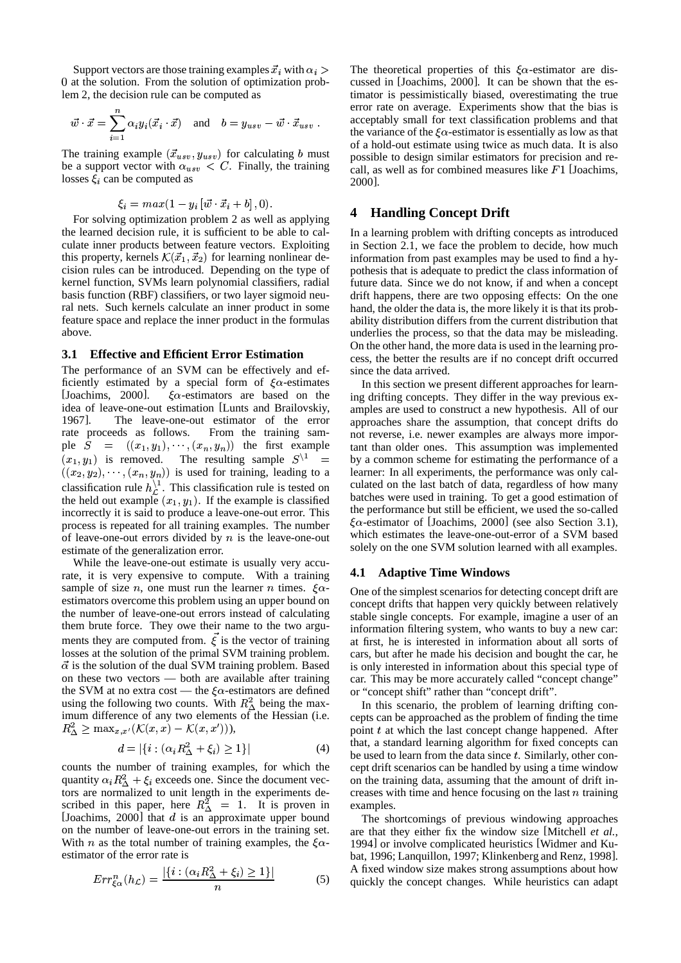Support vectors are those training examples  $\vec{x_i}$  with  $\alpha_i$  > The theorem 0 at the solution. From the solution of optimization problem 2, the decision rule can be computed as

$$
\vec{w} \cdot \vec{x} = \sum_{i=1}^{n} \alpha_i y_i (\vec{x}_i \cdot \vec{x}) \quad \text{and} \quad b = y_{usv} - \vec{w} \cdot \vec{x}_{usv} .
$$

The training example  $(\vec{x}_{usv}, y_{usv})$  for calculating b must be a support vector with  $\alpha_{usv} < C$ . Finally, the training losses  $\xi_i$  can be computed as

$$
\xi_i = max(1 - y_i \left[ \vec{w} \cdot \vec{x}_i + b \right], 0).
$$

For solving optimization problem 2 as well as applying the learned decision rule, it is sufficient to be able to calculate inner products between feature vectors. Exploiting this property, kernels  $\mathcal{K}(\vec{x}_1, \vec{x}_2)$  for learning nonlinear decision rules can be introduced. Depending on the type of kernel function, SVMs learn polynomial classifiers, radial basis function (RBF) classifiers, or two layer sigmoid neural nets. Such kernels calculate an inner product in some feature space and replace the inner product in the formulas above.

#### **3.1 Effective and Efficient Error Estimation**

The performance of an SVM can be effectively and efficiently estimated by a special form of  $\xi \alpha$ -estimates  $[Joachims, 2000]$ .  $\xi \alpha$ -estimators are based on the idea of leave-one-out estimation [Lunts and Brailovskiy, 1967]. The leave-one-out estimator of the error rate proceeds as follows. From the training sample  $S = ((x_1, y_1), \cdots, (x_n, y_n))$  the first example  $(x_1, y_1)$  is removed. The resulting sample  $S^{\setminus 1}$  =  $((x_2, y_2), \cdots, (x_n, y_n))$  is used for training, leading to a classification rule  $h_{\mathcal{L}}^{\lambda_1}$ . This classification rule is tested on the held out example  $(x_1, y_1)$ . If the example is classified incorrectly it is said to produce a leave-one-out error. This process is repeated for all training examples. The number of leave-one-out errors divided by  $n$  is the leave-one-out estimate of the generalization error.

While the leave-one-out estimate is usually very accurate, it is very expensive to compute. With a training sample of size *n*, one must run the learner *n* times.  $\xi \alpha$ - One of estimators overcome this problem using an upper bound on the number of leave-one-out errors instead of calculating them brute force. They owe their name to the two arguments they are computed from.  $\xi$  is the vector of training losses at the solution of the primal SVM training problem.  $\vec{\alpha}$  is the solution of the dual SVM training problem. Based on these two vectors — both are available after training the SVM at no extra cost — the  $\xi \alpha$ -estimators are defined using the following two counts. With  $R<sub>A</sub><sup>2</sup>$  being the maximum difference of any two elements of the Hessian (i.e.  $R^2_\Delta \geq \max_{x,x'} (\mathcal{K}(x,x)-\mathcal{K}(x,x'))),$ 

$$
d = |\{i : (\alpha_i R_\Delta^2 + \xi_i) \ge 1\}| \tag{4}
$$

counts the number of training examples, for which the quantity  $\alpha_i R_\Delta^2 + \xi_i$  exceeds one. Since the document vectors are normalized to unit length in the experiments described in this paper, here  $R_{\Lambda}^2 = 1$ . It is proven in [Joachims, 2000] that  $d$  is an approximate upper bound on the number of leave-one-out errors in the training set. With *n* as the total number of training examples, the  $\xi \alpha$ - 1994] estimator of the error rate is

$$
Err_{\xi\alpha}^n(h_{\mathcal{L}}) = \frac{|\{i : (\alpha_i R_{\Delta}^2 + \xi_i) \ge 1\}|}{n}
$$
 (5)

The theoretical properties of this  $\xi \alpha$ -estimator are discussed in [Joachims, 2000]. It can be shown that the estimator is pessimistically biased, overestimating the true error rate on average. Experiments show that the bias is acceptably small for text classification problems and that the variance of the  $\xi \alpha$ -estimator is essentially as low as that of a hold-out estimate using twice as much data. It is also possible to design similar estimators for precision and recall, as well as for combined measures like  $F1$  [Joachims, 2000].

## **4 Handling Concept Drift**

In a learning problem with drifting concepts as introduced in Section 2.1, we face the problem to decide, how much information from past examples may be used to find a hypothesis that is adequate to predict the class information of future data. Since we do not know, if and when a concept drift happens, there are two opposing effects: On the one hand, the older the data is, the more likely it is that its probability distribution differs from the current distribution that underlies the process, so that the data may be misleading. On the other hand, the more data is used in the learning process, the better the results are if no concept drift occurred since the data arrived.

 by a common scheme for estimating the performance of a In this section we present different approaches for learning drifting concepts. They differ in the way previous examples are used to construct a new hypothesis. All of our approaches share the assumption, that concept drifts do not reverse, i.e. newer examples are always more important than older ones. This assumption was implemented learner: In all experiments, the performance was only calculated on the last batch of data, regardless of how many batches were used in training. To get a good estimation of the performance but still be efficient, we used the so-called  $\xi \alpha$ -estimator of [Joachims, 2000] (see also Section 3.1), which estimates the leave-one-out-error of a SVM based solely on the one SVM solution learned with all examples.

# **4.1 Adaptive Time Windows**

One of the simplest scenarios for detecting concept drift are concept drifts that happen very quickly between relatively stable single concepts. For example, imagine a user of an information filtering system, who wants to buy a new car: at first, he is interested in information about all sorts of cars, but after he made his decision and bought the car, he is only interested in information about this special type of car. This may be more accurately called "concept change" or "concept shift" rather than "concept drift".

In this scenario, the problem of learning drifting concepts can be approached as the problem of finding the time point  $t$  at which the last concept change happened. After that, a standard learning algorithm for fixed concepts can be used to learn from the data since  $t$ . Similarly, other concept drift scenarios can be handled by using a time window on the training data, assuming that the amount of drift increases with time and hence focusing on the last  $n$  training examples.

The shortcomings of previous windowing approaches are that they either fix the window size [Mitchell *et al.*, 1994] or involve complicated heuristics [Widmer and Kubat, 1996; Lanquillon, 1997; Klinkenberg and Renz, 1998]. A fixed window size makes strong assumptions about how quickly the concept changes. While heuristics can adapt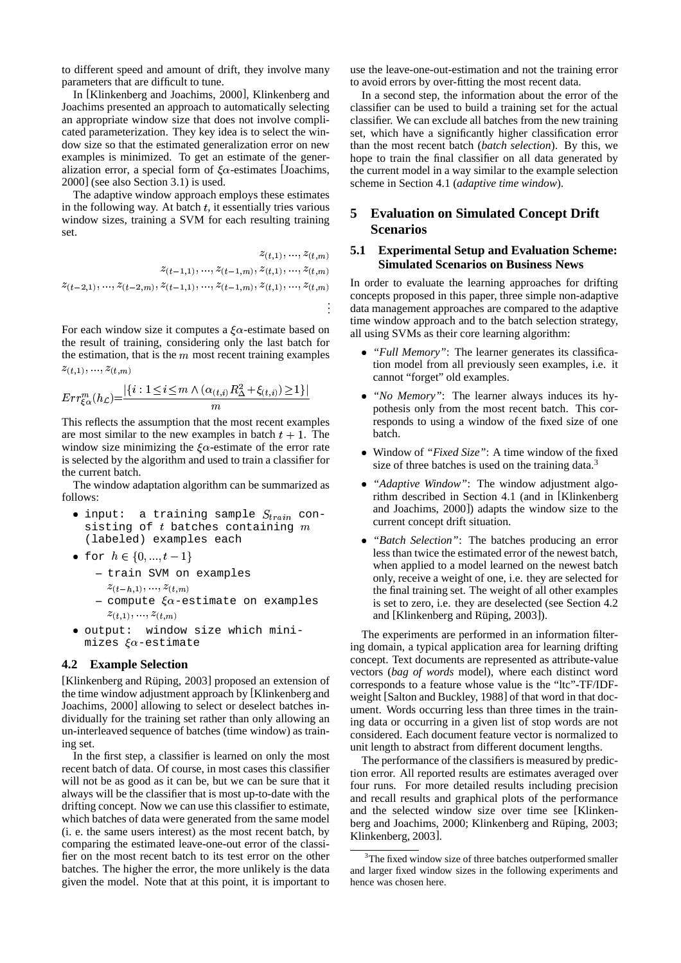to different speed and amount of drift, they involve many parameters that are difficult to tune.

In [Klinkenberg and Joachims, 2000], Klinkenberg and Joachims presented an approach to automatically selecting an appropriate window size that does not involve complicated parameterization. They key idea is to select the window size so that the estimated generalization error on new examples is minimized. To get an estimate of the generalization error, a special form of  $\xi \alpha$ -estimates [Joachims, 2000] (see also Section 3.1) is used.

The adaptive window approach employs these estimates in the following way. At batch  $t$ , it essentially tries various window sizes, training a SVM for each resulting training set.

$$
z_{(t,1)},...,z_{(t,m)}
$$
  
\n
$$
z_{(t-1,1)},...,z_{(t-1,m)},z_{(t,1)},...,z_{(t,m)}
$$
  
\n
$$
z_{(t-2,1)},...,z_{(t-2,m)},z_{(t-1,1)},...,z_{(t-1,m)},z_{(t,1)},...,z_{(t,m)}
$$
  
\n
$$
\vdots
$$

For each window size it computes a  $\xi \alpha$ -estimate based on the result of training, considering only the last batch for the estimation, that is the  $m$  most recent training examples  $z_{(t,1)}, \ldots, z_{(t,m)}$ 

$$
Err_{\xi\alpha}^m(h_{\mathcal{L}}) = \frac{|\{i : 1 \le i \le m \land (\alpha_{(t,i)}R_{\Delta}^2 + \xi_{(t,i)}) \ge 1\}|}{m}
$$

This reflects the assumption that the most recent examples are most similar to the new examples in batch  $t + 1$ . The window size minimizing the  $\xi \alpha$ -estimate of the error rate is selected by the algorithm and used to train a classifier for the current batch.

The window adaptation algorithm can be summarized as follows:

- input: a training sample  $S_{train}$  consisting of  $t$  batches containing  $m$ (labeled) examples each
- $\bullet$  for  $h\in\{0,...,t-1\}$ 
	- **–** train SVM on examples  $z_{(t-h,1)}, ..., z_{(t,m)}$  $-$  compute  $\mathit{\xi}\alpha$ -estimate on examples
- $z_{(t,1)}, \ldots, z_{(t,m)}$ output: window size which mini-
- mizes  $\xi \alpha$ -estimate

# **4.2 Example Selection**

[Klinkenberg and Rüping, 2003] proposed an extension of the time window adjustment approach by [Klinkenberg and Joachims, 2000] allowing to select or deselect batches individually for the training set rather than only allowing an un-interleaved sequence of batches (time window) as training set.

In the first step, a classifier is learned on only the most recent batch of data. Of course, in most cases this classifier will not be as good as it can be, but we can be sure that it always will be the classifier that is most up-to-date with the drifting concept. Now we can use this classifier to estimate, which batches of data were generated from the same model (i. e. the same users interest) as the most recent batch, by comparing the estimated leave-one-out error of the classifier on the most recent batch to its test error on the other batches. The higher the error, the more unlikely is the data given the model. Note that at this point, it is important to

use the leave-one-out-estimation and not the training error to avoid errors by over-fitting the most recent data.

In a second step, the information about the error of the classifier can be used to build a training set for the actual classifier. We can exclude all batches from the new training set, which have a significantly higher classification error than the most recent batch (*batch selection*). By this, we hope to train the final classifier on all data generated by the current model in a way similar to the example selection scheme in Section 4.1 (*adaptive time window*).

# **5 Evaluation on Simulated Concept Drift Scenarios**

### **5.1 Experimental Setup and Evaluation Scheme: Simulated Scenarios on Business News**

In order to evaluate the learning approaches for drifting concepts proposed in this paper, three simple non-adaptive data management approaches are compared to the adaptive time window approach and to the batch selection strategy, all using SVMs as their core learning algorithm:

- *"Full Memory"*: The learner generates its classification model from all previously seen examples, i.e. it cannot "forget" old examples.
- *"No Memory"*: The learner always induces its hypothesis only from the most recent batch. This corresponds to using a window of the fixed size of one batch.
- Window of *"Fixed Size"*: A time window of the fixed size of three batches is used on the training data.<sup>3</sup>
- *"Adaptive Window"*: The window adjustment algorithm described in Section 4.1 (and in [Klinkenberg and Joachims, 2000]) adapts the window size to the current concept drift situation.
- *"Batch Selection"*: The batches producing an error less than twice the estimated error of the newest batch, when applied to a model learned on the newest batch only, receive a weight of one, i.e. they are selected for the final training set. The weight of all other examples is set to zero, i.e. they are deselected (see Section 4.2 and [Klinkenberg and Rüping, 2003]).

The experiments are performed in an information filtering domain, a typical application area for learning drifting concept. Text documents are represented as attribute-value vectors (*bag of words* model), where each distinct word corresponds to a feature whose value is the "ltc"-TF/IDFweight [Salton and Buckley, 1988] of that word in that document. Words occurring less than three times in the training data or occurring in a given list of stop words are not considered. Each document feature vector is normalized to unit length to abstract from different document lengths.

The performance of the classifiers is measured by prediction error. All reported results are estimates averaged over four runs. For more detailed results including precision and recall results and graphical plots of the performance and the selected window size over time see [Klinkenberg and Joachims, 2000; Klinkenberg and Rüping, 2003; Klinkenberg, 2003].

<sup>&</sup>lt;sup>3</sup>The fixed window size of three batches outperformed smaller and larger fixed window sizes in the following experiments and hence was chosen here.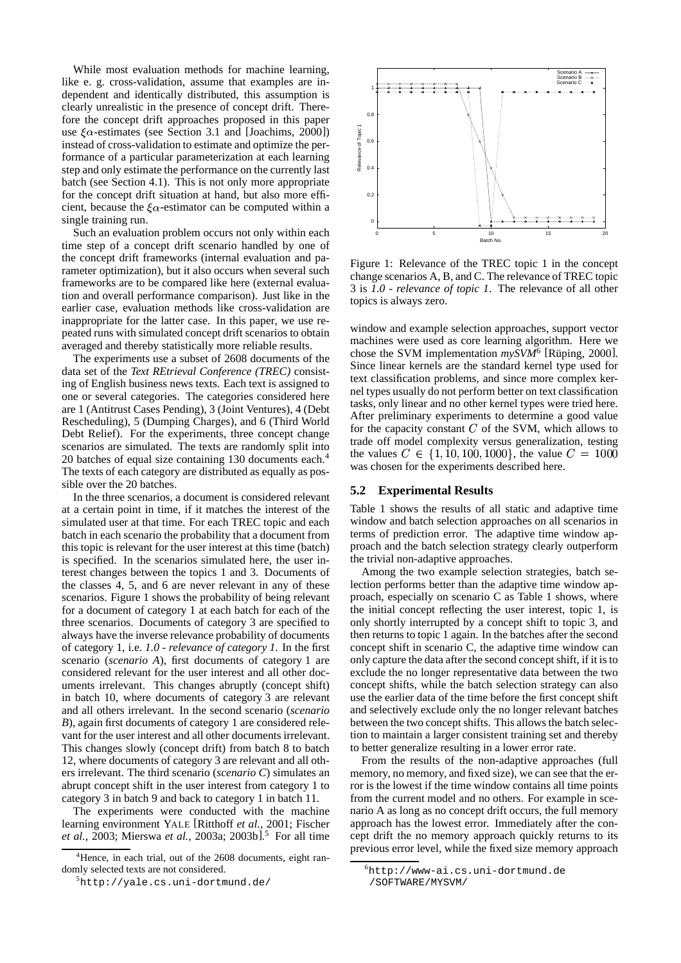While most evaluation methods for machine learning, like e. g. cross-validation, assume that examples are independent and identically distributed, this assumption is clearly unrealistic in the presence of concept drift. Therefore the concept drift approaches proposed in this paper use  $\xi \alpha$ -estimates (see Section 3.1 and [Joachims, 2000]) instead of cross-validation to estimate and optimize the performance of a particular parameterization at each learning step and only estimate the performance on the currently last batch (see Section 4.1). This is not only more appropriate for the concept drift situation at hand, but also more efficient, because the  $\xi \alpha$ -estimator can be computed within a single training run.

Such an evaluation problem occurs not only within each time step of a concept drift scenario handled by one of the concept drift frameworks (internal evaluation and parameter optimization), but it also occurs when several such frameworks are to be compared like here (external evaluation and overall performance comparison). Just like in the earlier case, evaluation methods like cross-validation are inappropriate for the latter case. In this paper, we use repeated runs with simulated concept drift scenarios to obtain averaged and thereby statistically more reliable results.

The experiments use a subset of 2608 documents of the data set of the *Text REtrieval Conference (TREC)* consisting of English business news texts. Each text is assigned to one or several categories. The categories considered here are 1 (Antitrust Cases Pending), 3 (Joint Ventures), 4 (Debt Rescheduling), 5 (Dumping Charges), and 6 (Third World Debt Relief). For the experiments, three concept change scenarios are simulated. The texts are randomly split into 20 batches of equal size containing 130 documents each.<sup>4</sup> The texts of each category are distributed as equally as possible over the 20 batches.

In the three scenarios, a document is considered relevant at a certain point in time, if it matches the interest of the simulated user at that time. For each TREC topic and each batch in each scenario the probability that a document from this topic is relevant for the user interest at this time (batch) is specified. In the scenarios simulated here, the user interest changes between the topics 1 and 3. Documents of the classes 4, 5, and 6 are never relevant in any of these scenarios. Figure 1 shows the probability of being relevant for a document of category 1 at each batch for each of the three scenarios. Documents of category 3 are specified to always have the inverse relevance probability of documents of category 1, i.e. *1.0 - relevance of category 1*. In the first scenario (*scenario A*), first documents of category 1 are considered relevant for the user interest and all other documents irrelevant. This changes abruptly (concept shift) in batch 10, where documents of category 3 are relevant and all others irrelevant. In the second scenario (*scenario B*), again first documents of category 1 are considered relevant for the user interest and all other documents irrelevant. This changes slowly (concept drift) from batch 8 to batch 12, where documents of category 3 are relevant and all others irrelevant. The third scenario (*scenario C*) simulates an abrupt concept shift in the user interest from category 1 to category 3 in batch 9 and back to category 1 in batch 11.

The experiments were conducted with the machine learning environment YALE [Ritthoff *et al.*, 2001; Fischer *et al.*, 2003; Mierswa *et al.*, 2003a; 2003b]. <sup>5</sup> For all time



Figure 1: Relevance of the TREC topic 1 in the concept change scenarios A, B, and C. The relevance of TREC topic 3 is *1.0 - relevance of topic 1*. The relevance of all other topics is always zero.

window and example selection approaches, support vector machines were used as core learning algorithm. Here we chose the SVM implementation  $m y \overline{S} V M^6$  [Rüping, 2000]. Since linear kernels are the standard kernel type used for text classification problems, and since more complex kernel types usually do not perform better on text classification tasks, only linear and no other kernel types were tried here. After preliminary experiments to determine a good value for the capacity constant  $C$  of the SVM, which allows to trade off model complexity versus generalization, testing the values  $C \in \{1, 10, 100, 1000\}$ , the value  $C = 1000$ was chosen for the experiments described here.

#### **5.2 Experimental Results**

Table 1 shows the results of all static and adaptive time window and batch selection approaches on all scenarios in terms of prediction error. The adaptive time window approach and the batch selection strategy clearly outperform the trivial non-adaptive approaches.

Among the two example selection strategies, batch selection performs better than the adaptive time window approach, especially on scenario C as Table 1 shows, where the initial concept reflecting the user interest, topic 1, is only shortly interrupted by a concept shift to topic 3, and then returns to topic 1 again. In the batches after the second concept shift in scenario C, the adaptive time window can only capture the data after the second conceptshift, if it isto exclude the no longer representative data between the two concept shifts, while the batch selection strategy can also use the earlier data of the time before the first concept shift and selectively exclude only the no longer relevant batches between the two concept shifts. This allows the batch selection to maintain a larger consistent training set and thereby to better generalize resulting in a lower error rate.

From the results of the non-adaptive approaches (full memory, no memory, and fixed size), we can see that the error is the lowest if the time window contains all time points from the current model and no others. For example in scenario A as long as no concept drift occurs, the full memory approach has the lowest error. Immediately after the concept drift the no memory approach quickly returns to its previous error level, while the fixed size memory approach

<sup>&</sup>lt;sup>4</sup>Hence, in each trial, out of the 2608 documents, eight randomly selected texts are not considered.

<sup>5</sup>http://yale.cs.uni-dortmund.de/

 $6$ http://www-ai.cs.uni-dortmund.de /SOFTWARE/MYSVM/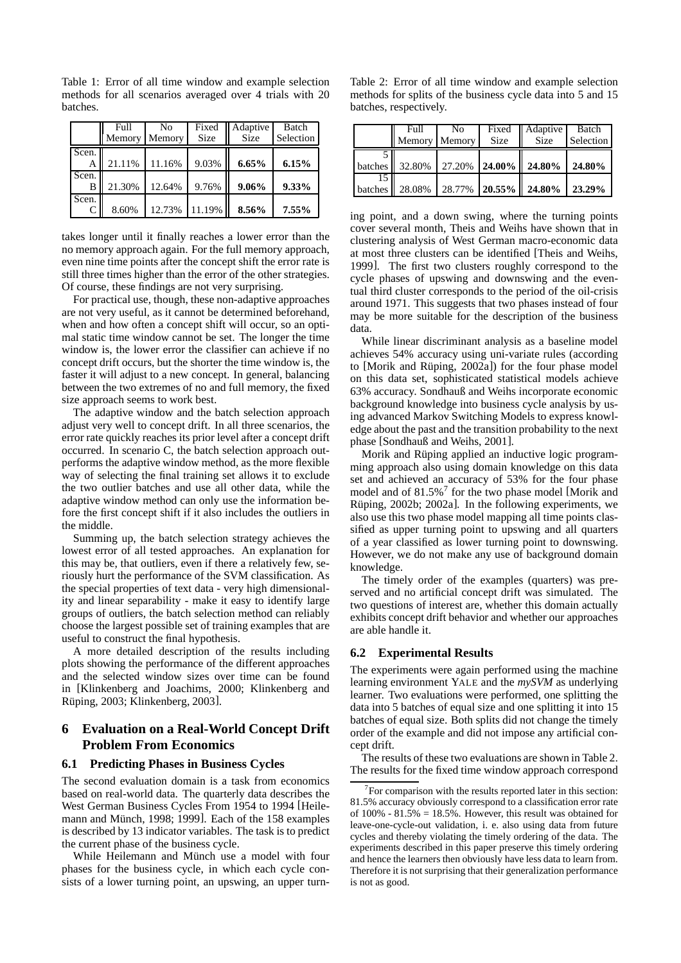|            | Full<br>Memory | No<br>Memory | Fixed<br><b>Size</b> | Adaptive<br>Size | Batch<br>Selection |
|------------|----------------|--------------|----------------------|------------------|--------------------|
| Scen.<br>Α | 21.11%         | 11.16%       | 9.03%                | 6.65%            | 6.15%              |
| Scen.<br>в | 21.30%         | 12.64%       | 9.76%                | $9.06\%$         | 9.33%              |
| Scen.      | 8.60%          | 12.73%       | 11.19%               | $8.56\%$         | $7.55\%$           |

Table 1: Error of all time window and example selection methods for all scenarios averaged over 4 trials with 20 batches.

takes longer until it finally reaches a lower error than the no memory approach again. For the full memory approach, even nine time points after the concept shift the error rate is still three times higher than the error of the other strategies. Of course, these findings are not very surprising.

For practical use, though, these non-adaptive approaches are not very useful, as it cannot be determined beforehand, when and how often a concept shift will occur, so an optimal static time window cannot be set. The longer the time window is, the lower error the classifier can achieve if no concept drift occurs, but the shorter the time window is, the faster it will adjust to a new concept. In general, balancing between the two extremes of no and full memory, the fixed size approach seems to work best.

The adaptive window and the batch selection approach adjust very well to concept drift. In all three scenarios, the error rate quickly reaches its prior level after a concept drift occurred. In scenario C, the batch selection approach outperforms the adaptive window method, as the more flexible way of selecting the final training set allows it to exclude the two outlier batches and use all other data, while the adaptive window method can only use the information before the first concept shift if it also includes the outliers in the middle.

Summing up, the batch selection strategy achieves the lowest error of all tested approaches. An explanation for this may be, that outliers, even if there a relatively few, seriously hurt the performance of the SVM classification. As the special properties of text data - very high dimensionality and linear separability - make it easy to identify large groups of outliers, the batch selection method can reliably choose the largest possible set of training examples that are useful to construct the final hypothesis.

A more detailed description of the results including plots showing the performance of the different approaches and the selected window sizes over time can be found in [Klinkenberg and Joachims, 2000; Klinkenberg and Rüping, 2003; Klinkenberg, 2003].

# **6 Evaluation on a Real-World Concept Drift Problem From Economics**

#### **6.1 Predicting Phases in Business Cycles**

The second evaluation domain is a task from economics based on real-world data. The quarterly data describes the West German Business Cycles From 1954 to 1994 [Heilemann and Münch, 1998; 1999]. Each of the 158 examples is described by 13 indicator variables. The task is to predict the current phase of the business cycle.

While Heilemann and Münch use a model with four phases for the business cycle, in which each cycle consists of a lower turning point, an upswing, an upper turn-

Table 2: Error of all time window and example selection methods for splits of the business cycle data into 5 and 15 batches, respectively.

|         | Full<br>Memory Memory | N <sub>0</sub>              | <b>Size</b> | Fixed   Adaptive<br><b>Size</b> | Batch<br>Selection |
|---------|-----------------------|-----------------------------|-------------|---------------------------------|--------------------|
| batches |                       |                             |             | 32.80% 27.20% 24.00% 24.80%     | 24.80%             |
| batches |                       | 28.08% 28.77% 20.55% 24.80% |             |                                 | 23.29%             |

ing point, and a down swing, where the turning points cover several month, Theis and Weihs have shown that in clustering analysis of West German macro-economic data at most three clusters can be identified [Theis and Weihs, 1999]. The first two clusters roughly correspond to the cycle phases of upswing and downswing and the eventual third cluster corresponds to the period of the oil-crisis around 1971. This suggests that two phases instead of four may be more suitable for the description of the business data.

While linear discriminant analysis as a baseline model achieves 54% accuracy using uni-variate rules (according to [Morik and Rüping, 2002a]) for the four phase model on this data set, sophisticated statistical models achieve 63% accuracy. Sondhauß and Weihs incorporate economic background knowledge into business cycle analysis by using advanced Markov Switching Models to express knowledge about the past and the transition probability to the next phase [Sondhauß and Weihs, 2001].

Morik and Rüping applied an inductive logic programming approach also using domain knowledge on this data set and achieved an accuracy of 53% for the four phase model and of 81.5%<sup>7</sup> for the two phase model [Morik and Rüping, 2002b; 2002a]. In the following experiments, we also use this two phase model mapping all time points classified as upper turning point to upswing and all quarters of a year classified as lower turning point to downswing. However, we do not make any use of background domain knowledge.

The timely order of the examples (quarters) was preserved and no artificial concept drift was simulated. The two questions of interest are, whether this domain actually exhibits concept drift behavior and whether our approaches are able handle it.

### **6.2 Experimental Results**

The experiments were again performed using the machine learning environment YALE and the *mySVM* as underlying learner. Two evaluations were performed, one splitting the data into 5 batches of equal size and one splitting it into 15 batches of equal size. Both splits did not change the timely order of the example and did not impose any artificial concept drift.

The results of these two evaluations are shown in Table 2. The results for the fixed time window approach correspond

 $7$ For comparison with the results reported later in this section: 81.5% accuracy obviously correspond to a classification error rate of  $100\% - 81.5\% = 18.5\%$ . However, this result was obtained for leave-one-cycle-out validation, i. e. also using data from future cycles and thereby violating the timely ordering of the data. The experiments described in this paper preserve this timely ordering and hence the learners then obviously have less data to learn from. Therefore it is not surprising that their generalization performance is not as good.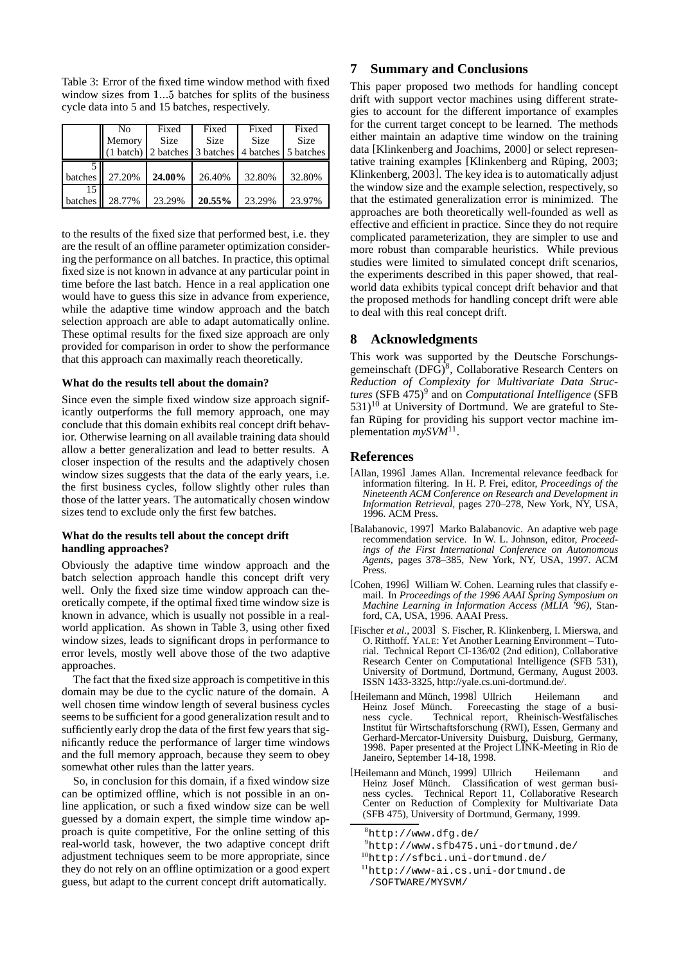Table 3: Error of the fixed time window method with fixed window sizes from  $1...5$  batches for splits of the business cycle data into 5 and 15 batches, respectively.

|         | No     | Fixed                         | Fixed       | Fixed               | Fixed       |
|---------|--------|-------------------------------|-------------|---------------------|-------------|
|         | Memory | <b>Size</b>                   | <b>Size</b> | <b>Size</b>         | <b>Size</b> |
|         |        | $(1 \text{ batch})$ 2 batches | 3 batches   | 4 batches 5 batches |             |
|         |        |                               |             |                     |             |
| batches | 27.20% | 24.00%                        | 26.40%      | 32.80%              | 32.80%      |
| 15      |        |                               |             |                     |             |
| batches | 28.77% | 23.29%                        | 20.55%      | 23.29%              | 23.97%      |

to the results of the fixed size that performed best, i.e. they are the result of an offline parameter optimization considering the performance on all batches. In practice, this optimal fixed size is not known in advance at any particular point in time before the last batch. Hence in a real application one would have to guess this size in advance from experience, while the adaptive time window approach and the batch selection approach are able to adapt automatically online. These optimal results for the fixed size approach are only provided for comparison in order to show the performance that this approach can maximally reach theoretically.

### **What do the results tell about the domain?**

Since even the simple fixed window size approach significantly outperforms the full memory approach, one may conclude that this domain exhibits real concept drift behavior. Otherwise learning on all available training data should allow a better generalization and lead to better results. A closer inspection of the results and the adaptively chosen window sizes suggests that the data of the early years, i.e. the first business cycles, follow slightly other rules than those of the latter years. The automatically chosen window sizes tend to exclude only the first few batches.

### **What do the results tell about the concept drift handling approaches?**

Obviously the adaptive time window approach and the batch selection approach handle this concept drift very well. Only the fixed size time window approach can theoretically compete, if the optimal fixed time window size is known in advance, which is usually not possible in a realworld application. As shown in Table 3, using other fixed window sizes, leads to significant drops in performance to error levels, mostly well above those of the two adaptive approaches.

The fact that the fixed size approach is competitive in this domain may be due to the cyclic nature of the domain. A well chosen time window length of several business cycles seems to be sufficient for a good generalization result and to sufficiently early drop the data of the first few years that significantly reduce the performance of larger time windows and the full memory approach, because they seem to obey somewhat other rules than the latter years.

So, in conclusion for this domain, if a fixed window size can be optimized offline, which is not possible in an online application, or such a fixed window size can be well guessed by a domain expert, the simple time window approach is quite competitive, For the online setting of this real-world task, however, the two adaptive concept drift adjustment techniques seem to be more appropriate, since they do not rely on an offline optimization or a good expert guess, but adapt to the current concept drift automatically.

# **7 Summary and Conclusions**

This paper proposed two methods for handling concept drift with support vector machines using different strategies to account for the different importance of examples for the current target concept to be learned. The methods either maintain an adaptive time window on the training data [Klinkenberg and Joachims, 2000] or select representative training examples [Klinkenberg and Rüping, 2003; Klinkenberg, 2003]. The key idea is to automatically adjust the window size and the example selection, respectively, so that the estimated generalization error is minimized. The approaches are both theoretically well-founded as well as effective and efficient in practice. Since they do not require complicated parameterization, they are simpler to use and more robust than comparable heuristics. While previous studies were limited to simulated concept drift scenarios, the experiments described in this paper showed, that realworld data exhibits typical concept drift behavior and that the proposed methods for handling concept drift were able to deal with this real concept drift.

## **8 Acknowledgments**

This work was supported by the Deutsche Forschungsgemeinschaft (DFG)<sup>8</sup>, Collaborative Research Centers on *Reduction of Complexity for Multivariate Data Structures* (SFB 475)<sup>9</sup> and on *Computational Intelligence* (SFB  $531$ <sup>10</sup> at University of Dortmund. We are grateful to Stefan Rüping for providing his support vector machine implementation *mySVM*<sup>11</sup> .

### **References**

- [Allan, 1996] James Allan. Incremental relevance feedback for information filtering. In H. P. Frei, editor, *Proceedings of the Nineteenth ACM Conference on Research and Development in Information Retrieval*, pages 270–278, New York, NY, USA, 1996. ACM Press.
- [Balabanovic, 1997] Marko Balabanovic. An adaptive web page recommendation service. In W. L. Johnson, editor, *Proceedings of the First International Conference on Autonomous Agents*, pages 378–385, New York, NY, USA, 1997. ACM **Press**.
- [Cohen, 1996] William W. Cohen. Learning rules that classify email. In *Proceedings of the 1996 AAAI Spring Symposium on Machine Learning in Information Access (MLIA '96)*, Stanford, CA, USA, 1996. AAAI Press.
- [Fischer *et al.*, 2003] S. Fischer, R. Klinkenberg, I. Mierswa, and O. Ritthoff. YALE: Yet Another Learning Environment – Tutorial. Technical Report CI-136/02 (2nd edition), Collaborative Research Center on Computational Intelligence (SFB 531), University of Dortmund, Dortmund, Germany, August 2003. ISSN 1433-3325, http://yale.cs.uni-dortmund.de/.
- [Heilemann and Münch, 1998] Ullrich Heilemann and Heinz Josef Münch. Fore ecasting the stage of a busi-Foreecasting the stage of a business cycle. Technical report, Rheinisch-Westfälisches Institut für Wirtschaftsforschung (RWI), Essen, Germany and Gerhard-Mercator-University Duisburg, Duisburg, Germany, 1998. Paper presented at the Project LINK-Meeting in Rio de Janeiro, September 14-18, 1998.
- [Heilemann and Münch, 1999] Ullrich Heilemann and Heinz Josef Münch. Classification of west german business cycles. Technical Report 11, Collaborative Research Center on Reduction of Complexity for Multivariate Data (SFB 475), University of Dortmund, Germany, 1999.

 ${}^{8}$ http://www.dfg.de/

 $9$ http://www.sfb475.uni-dortmund.de/

<sup>10</sup>http://sfbci.uni-dortmund.de/

<sup>11</sup>http://www-ai.cs.uni-dortmund.de /SOFTWARE/MYSVM/